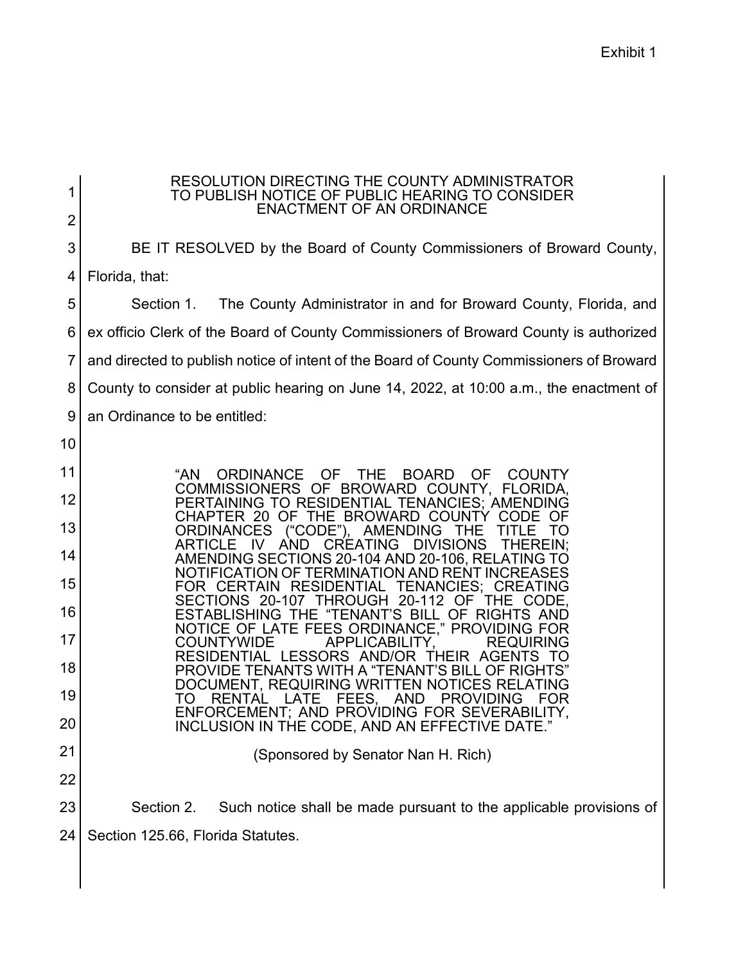| 1              | RESOLUTION DIRECTING THE COUNTY ADMINISTRATOR<br>TO PUBLISH NOTICE OF PUBLIC HEARING TO CONSIDER<br><b>ENACTMENT OF AN ORDINANCE</b> |  |  |  |
|----------------|--------------------------------------------------------------------------------------------------------------------------------------|--|--|--|
| $\overline{2}$ |                                                                                                                                      |  |  |  |
| 3              | BE IT RESOLVED by the Board of County Commissioners of Broward County,                                                               |  |  |  |
| 4              | Florida, that:                                                                                                                       |  |  |  |
| 5              | The County Administrator in and for Broward County, Florida, and<br>Section 1.                                                       |  |  |  |
| 6              | ex officio Clerk of the Board of County Commissioners of Broward County is authorized                                                |  |  |  |
| 7              | and directed to publish notice of intent of the Board of County Commissioners of Broward                                             |  |  |  |
| 8              | County to consider at public hearing on June 14, 2022, at 10:00 a.m., the enactment of                                               |  |  |  |
| 9              | an Ordinance to be entitled:                                                                                                         |  |  |  |
| 10             |                                                                                                                                      |  |  |  |
| 11             | "AN<br><b>ORDINANCE</b><br><b>OF</b><br><b>THE</b><br><b>BOARD</b><br><b>OF</b><br><b>COUNTY</b>                                     |  |  |  |
| 12             | COMMISSIONERS OF BROWARD COUNTY, FLORIDA,<br>PERTAINING TO RESIDENTIAL TENANCIES: AMENDING                                           |  |  |  |
| 13             | CHAPTER 20 OF THE BROWARD COUNTY CODE<br><b>ORDINANCES</b><br>("CODE"), AMENDING<br><b>THE</b><br>TО                                 |  |  |  |
| 14             | <b>AND</b><br><b>DIVISIONS</b><br>-IV<br>CREATING<br><b>THEREIN:</b><br>ARTICLE<br>AMENDING SECTIONS 20-104 AND 20-106, RELATING TO  |  |  |  |
| 15             | NOTIFICATION OF TERMINATION AND RENT INCREASES<br>FOR CERTAIN RESIDENTIAL<br><b>TENANCIES: CREATING</b>                              |  |  |  |
| 16             | SECTIONS 20-107 THROUGH<br>20-112 OF<br>THE.<br>CODE.<br>ESTABLISHING THE "TENANT'S BILL OF RIGHTS AND                               |  |  |  |
| 17             | NOTICE OF LATE FEES ORDINANCE," PROVIDING FOR<br><b>COUNTYWIDE</b><br>APPLICABILITY,<br><b>REQUIRING</b>                             |  |  |  |
| 18             | RESIDENTIAL LESSORS AND/OR THEIR AGENTS<br>TO<br>PROVIDE TENANTS WITH A "TENANT'S BILL OF RIGHTS"                                    |  |  |  |
| 19             | DOCUMENT, REQUIRING WRITTEN NOTICES RELATING<br>FEES, AND<br>TO<br><b>RENTAL</b><br><b>PROVIDING</b><br>LATE<br>FOR                  |  |  |  |
| 20             | ENFORCEMENT: AND PROVIDING FOR SEVERABILITY.<br>INCLUSION IN THE CODE, AND AN EFFECTIVE DATE."                                       |  |  |  |
| 21             | (Sponsored by Senator Nan H. Rich)                                                                                                   |  |  |  |
| 22             |                                                                                                                                      |  |  |  |
| 23             | Section 2.<br>Such notice shall be made pursuant to the applicable provisions of                                                     |  |  |  |
| 24             | Section 125.66, Florida Statutes.                                                                                                    |  |  |  |
|                |                                                                                                                                      |  |  |  |